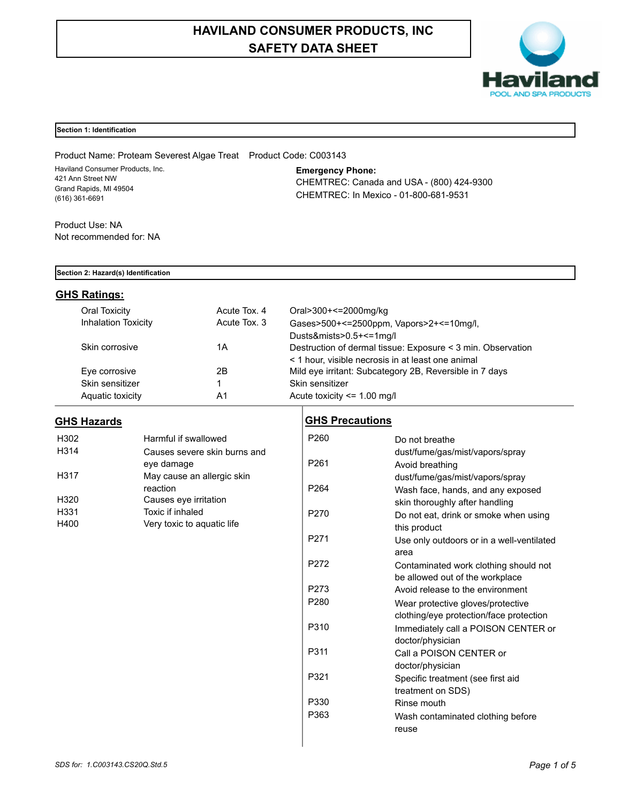# **HAVILAND CONSUMER PRODUCTS, INC SAFETY DATA SHEET**



## **Section 1: Identification**

Product Name: Proteam Severest Algae Treat Product Code: C003143 Haviland Consumer Products, Inc. 421 Ann Street NW Grand Rapids, MI 49504 (616) 361-6691

**Emergency Phone:** CHEMTREC: Canada and USA - (800) 424-9300 CHEMTREC: In Mexico - 01-800-681-9531

Product Use: NA Not recommended for: NA

## **Section 2: Hazard(s) Identification**

## **GHS Ratings:**

| Oral Toxicity              | Acute Tox, 4 | Oral>300+<=2000mg/kg                                        |
|----------------------------|--------------|-------------------------------------------------------------|
| <b>Inhalation Toxicity</b> | Acute Tox, 3 | Gases>500+<=2500ppm, Vapors>2+<=10mg/l,                     |
|                            |              | Dusts&mists>0.5+<=1mg/l                                     |
| Skin corrosive             | 1Α           | Destruction of dermal tissue: Exposure < 3 min. Observation |
|                            |              | < 1 hour, visible necrosis in at least one animal           |
| Eye corrosive              | 2Β           | Mild eye irritant: Subcategory 2B, Reversible in 7 days     |
| Skin sensitizer            |              | Skin sensitizer                                             |
| Aquatic toxicity           | A1           | Acute toxicity $\leq$ 1.00 mg/l                             |

## **GHS Hazards**

| H302 | Harmful if swallowed         |
|------|------------------------------|
| H314 | Causes severe skin burns and |
|      | eye damage                   |
| H317 | May cause an allergic skin   |
|      | reaction                     |
| H320 | Causes eye irritation        |
| H331 | Toxic if inhaled             |
| H400 | Very toxic to aquatic life   |

## **GHS Precautions**

| P <sub>260</sub> | Do not breathe                            |
|------------------|-------------------------------------------|
|                  | dust/fume/gas/mist/vapors/spray           |
| P <sub>261</sub> | Avoid breathing                           |
|                  | dust/fume/gas/mist/vapors/spray           |
| P <sub>264</sub> | Wash face, hands, and any exposed         |
|                  | skin thoroughly after handling            |
| P <sub>270</sub> | Do not eat, drink or smoke when using     |
|                  | this product                              |
| P <sub>271</sub> | Use only outdoors or in a well-ventilated |
|                  | area                                      |
| P <sub>272</sub> | Contaminated work clothing should not     |
|                  | be allowed out of the workplace           |
| P273             | Avoid release to the environment          |
| P <sub>280</sub> | Wear protective gloves/protective         |
|                  | clothing/eye protection/face protection   |
| P310             | Immediately call a POISON CENTER or       |
|                  | doctor/physician                          |
| P311             | Call a POISON CENTER or                   |
|                  | doctor/physician                          |
| P321             | Specific treatment (see first aid         |
|                  | treatment on SDS)                         |
| P330             | Rinse mouth                               |
| P363             | Wash contaminated clothing before         |
|                  | reuse                                     |
|                  |                                           |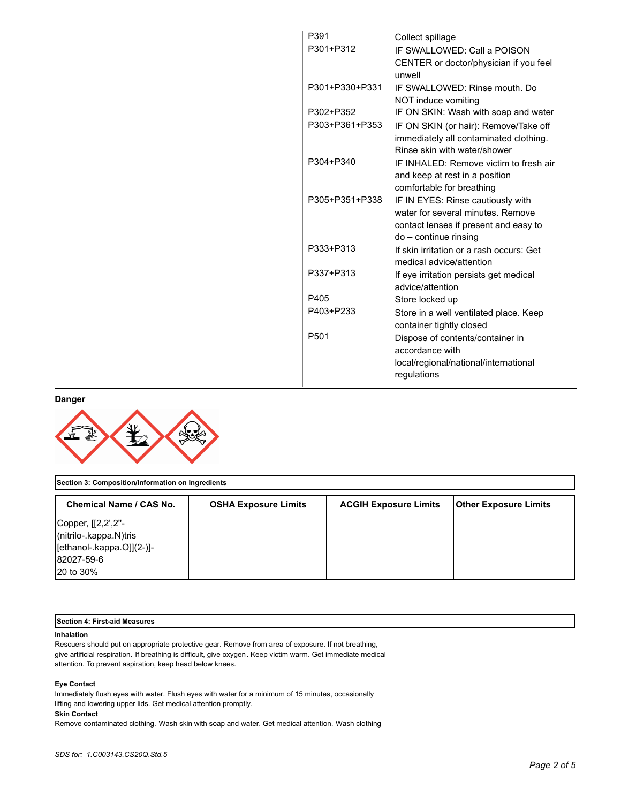| P391             | Collect spillage                         |
|------------------|------------------------------------------|
| P301+P312        | IF SWALLOWED: Call a POISON              |
|                  | CENTER or doctor/physician if you feel   |
|                  | unwell                                   |
| P301+P330+P331   | IF SWALLOWED: Rinse mouth, Do            |
|                  | NOT induce vomiting                      |
| P302+P352        | IF ON SKIN: Wash with soap and water     |
| P303+P361+P353   | IF ON SKIN (or hair): Remove/Take off    |
|                  | immediately all contaminated clothing.   |
|                  | Rinse skin with water/shower             |
| P304+P340        | IF INHALED: Remove victim to fresh air   |
|                  | and keep at rest in a position           |
|                  | comfortable for breathing                |
| P305+P351+P338   | IF IN EYES: Rinse cautiously with        |
|                  | water for several minutes. Remove        |
|                  | contact lenses if present and easy to    |
|                  | do – continue rinsing                    |
| P333+P313        | If skin irritation or a rash occurs: Get |
|                  | medical advice/attention                 |
| P337+P313        | If eye irritation persists get medical   |
|                  | advice/attention                         |
| P405             | Store locked up                          |
| P403+P233        | Store in a well ventilated place. Keep   |
|                  | container tightly closed                 |
| P <sub>501</sub> | Dispose of contents/container in         |
|                  | accordance with                          |
|                  | local/regional/national/international    |
|                  | regulations                              |
|                  |                                          |

**Danger**



| Section 3: Composition/Information on Ingredients                                                           |                             |                              |                       |
|-------------------------------------------------------------------------------------------------------------|-----------------------------|------------------------------|-----------------------|
| Chemical Name / CAS No.                                                                                     | <b>OSHA Exposure Limits</b> | <b>ACGIH Exposure Limits</b> | Other Exposure Limits |
| Copper, [[2,2',2"-<br>(nitrilo-.kappa.N)tris<br>[ethanol-.kappa.O]](2-)]-<br>82027-59-6<br><b>20 to 30%</b> |                             |                              |                       |

## **Section 4: First-aid Measures**

## **Inhalation**

Rescuers should put on appropriate protective gear. Remove from area of exposure. If not breathing, give artificial respiration. If breathing is difficult, give oxygen. Keep victim warm. Get immediate medical attention. To prevent aspiration, keep head below knees.

## **Eye Contact**

Immediately flush eyes with water. Flush eyes with water for a minimum of 15 minutes, occasionally lifting and lowering upper lids. Get medical attention promptly.

## **Skin Contact**

Remove contaminated clothing. Wash skin with soap and water. Get medical attention. Wash clothing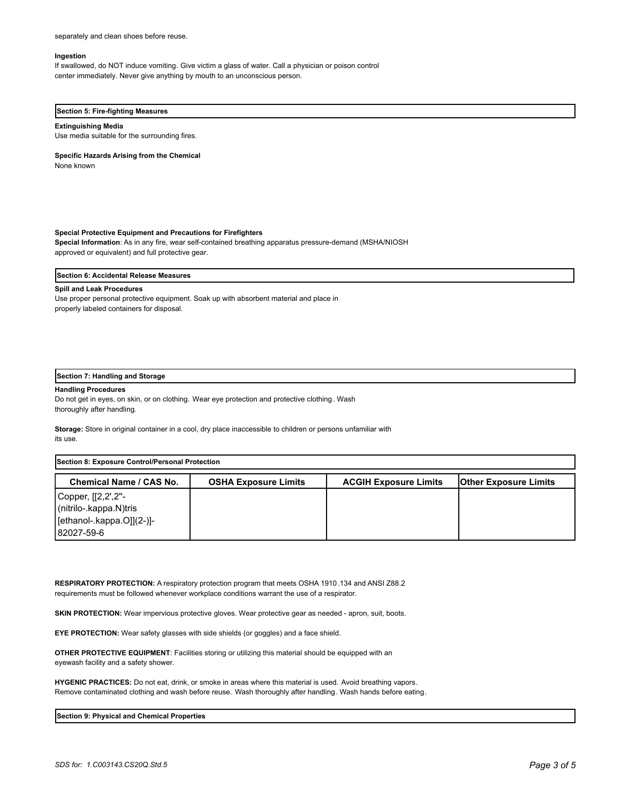separately and clean shoes before reuse.

#### **Ingestion**

If swallowed, do NOT induce vomiting. Give victim a glass of water. Call a physician or poison control center immediately. Never give anything by mouth to an unconscious person.

#### **Section 5: Fire-fighting Measures**

#### **Extinguishing Media**

Use media suitable for the surrounding fires.

#### **Specific Hazards Arising from the Chemical**

None known

#### **Special Protective Equipment and Precautions for Firefighters**

**Special Information**: As in any fire, wear self-contained breathing apparatus pressure-demand (MSHA/NIOSH approved or equivalent) and full protective gear.

#### **Section 6: Accidental Release Measures**

#### **Spill and Leak Procedures**

Use proper personal protective equipment. Soak up with absorbent material and place in properly labeled containers for disposal.

## **Section 7: Handling and Storage**

#### **Handling Procedures**

Do not get in eyes, on skin, or on clothing. Wear eye protection and protective clothing. Wash thoroughly after handling.

**Storage:** Store in original container in a cool, dry place inaccessible to children or persons unfamiliar with its use.

| Section 8: Exposure Control/Personal Protection                                            |                             |                              |                              |
|--------------------------------------------------------------------------------------------|-----------------------------|------------------------------|------------------------------|
| Chemical Name / CAS No.                                                                    | <b>OSHA Exposure Limits</b> | <b>ACGIH Exposure Limits</b> | <b>Other Exposure Limits</b> |
| Copper, [[2,2',2"-<br>(nitrilo-.kappa.N)tris<br>$[ethanol - kappa.O]](2-)]-$<br>82027-59-6 |                             |                              |                              |

**RESPIRATORY PROTECTION:** A respiratory protection program that meets OSHA 1910.134 and ANSI Z88.2 requirements must be followed whenever workplace conditions warrant the use of a respirator.

SKIN PROTECTION: Wear impervious protective gloves. Wear protective gear as needed - apron, suit, boots.

**EYE PROTECTION:** Wear safety glasses with side shields (or goggles) and a face shield.

**OTHER PROTECTIVE EQUIPMENT**: Facilities storing or utilizing this material should be equipped with an eyewash facility and a safety shower.

**HYGENIC PRACTICES:** Do not eat, drink, or smoke in areas where this material is used. Avoid breathing vapors. Remove contaminated clothing and wash before reuse. Wash thoroughly after handling. Wash hands before eating.

#### **Section 9: Physical and Chemical Properties**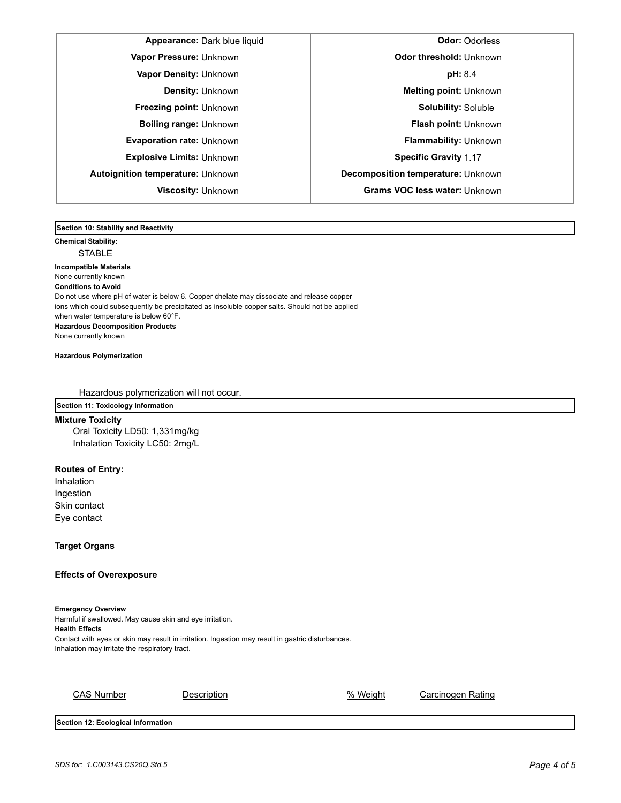**Appearance:** Dark blue liquid **Odor:** Odorless **Autoignition temperature:** Unknown **Decomposition temperature:** Unknown

**Vapor Pressure:** Unknown **CODO CONSTRESS CONSTRESS CONSTRESS ODDER Odor threshold:** Unknown **Vapor Density:** Unknown **pH:** 8.4 **Density:** Unknown **Melting point:** Unknown **Freezing point:** Unknown **Solubility:** Solubile **Boiling range:** Unknown **Flash point: Unknown Evaporation rate:** Unknown **Flammability:** Unknown **Explosive Limits:** Unknown **Specific Gravity** 1.17 **Viscosity:** Unknown **Grams VOC less water:** Unknown

**Section 10: Stability and Reactivity** 

**Chemical Stability:** STABLE

**Incompatible Materials**  None currently known **Conditions to Avoid** Do not use where pH of water is below 6. Copper chelate may dissociate and release copper ions which could subsequently be precipitated as insoluble copper salts. Should not be applied when water temperature is below 60°F. **Hazardous Decomposition Products** None currently known

**Hazardous Polymerization**

Hazardous polymerization will not occur.

**Section 11: Toxicology Information**

**Mixture Toxicity** Oral Toxicity LD50: 1,331mg/kg Inhalation Toxicity LC50: 2mg/L

## **Routes of Entry:**

Inhalation Ingestion Skin contact Eye contact

**Target Organs**

## **Effects of Overexposure**

**Emergency Overview** Harmful if swallowed. May cause skin and eye irritation. **Health Effects** Contact with eyes or skin may result in irritation. Ingestion may result in gastric disturbances. Inhalation

| """"                                                                                                                               |  |
|------------------------------------------------------------------------------------------------------------------------------------|--|
| with eyes or skin may result in irritation. Ingestion may result in gastric disturbances.<br>n may irritate the respiratory tract. |  |
|                                                                                                                                    |  |
|                                                                                                                                    |  |
|                                                                                                                                    |  |
|                                                                                                                                    |  |
|                                                                                                                                    |  |

CAS Number **Description Description CAS Number Carcinogen Rating** 

**Section 12: Ecological Information**